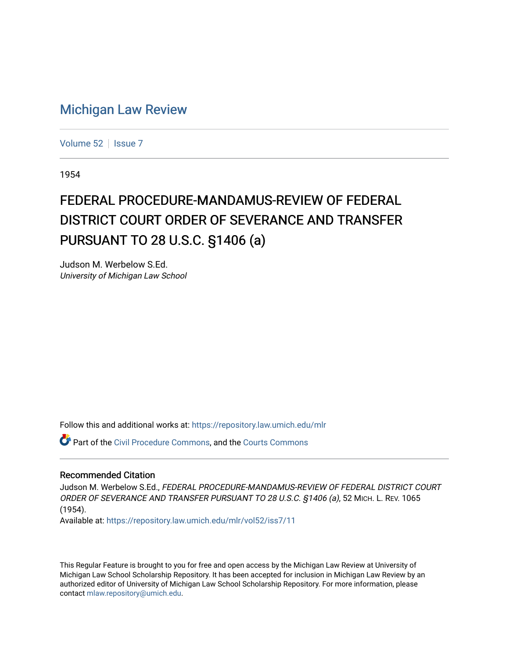## [Michigan Law Review](https://repository.law.umich.edu/mlr)

[Volume 52](https://repository.law.umich.edu/mlr/vol52) | [Issue 7](https://repository.law.umich.edu/mlr/vol52/iss7)

1954

## FEDERAL PROCEDURE-MANDAMUS-REVIEW OF FEDERAL DISTRICT COURT ORDER OF SEVERANCE AND TRANSFER PURSUANT TO 28 U.S.C. §1406 (a)

Judson M. Werbelow S.Ed. University of Michigan Law School

Follow this and additional works at: [https://repository.law.umich.edu/mlr](https://repository.law.umich.edu/mlr?utm_source=repository.law.umich.edu%2Fmlr%2Fvol52%2Fiss7%2F11&utm_medium=PDF&utm_campaign=PDFCoverPages) 

Part of the [Civil Procedure Commons,](http://network.bepress.com/hgg/discipline/584?utm_source=repository.law.umich.edu%2Fmlr%2Fvol52%2Fiss7%2F11&utm_medium=PDF&utm_campaign=PDFCoverPages) and the [Courts Commons](http://network.bepress.com/hgg/discipline/839?utm_source=repository.law.umich.edu%2Fmlr%2Fvol52%2Fiss7%2F11&utm_medium=PDF&utm_campaign=PDFCoverPages) 

## Recommended Citation

Judson M. Werbelow S.Ed., FEDERAL PROCEDURE-MANDAMUS-REVIEW OF FEDERAL DISTRICT COURT ORDER OF SEVERANCE AND TRANSFER PURSUANT TO 28 U.S.C. §1406 (a), 52 MICH. L. REV. 1065 (1954).

Available at: [https://repository.law.umich.edu/mlr/vol52/iss7/11](https://repository.law.umich.edu/mlr/vol52/iss7/11?utm_source=repository.law.umich.edu%2Fmlr%2Fvol52%2Fiss7%2F11&utm_medium=PDF&utm_campaign=PDFCoverPages) 

This Regular Feature is brought to you for free and open access by the Michigan Law Review at University of Michigan Law School Scholarship Repository. It has been accepted for inclusion in Michigan Law Review by an authorized editor of University of Michigan Law School Scholarship Repository. For more information, please contact [mlaw.repository@umich.edu](mailto:mlaw.repository@umich.edu).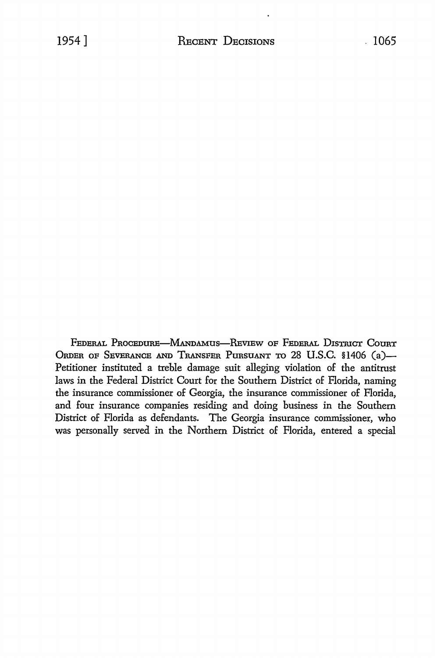FEDERAL PROCEDURE-MANDAMUS-REVIEW OF FEDERAL DISTRICT COURT ORDER OF SEVERANCE AND TRANSFER PURSUANT TO 28 U.S.C. \$1406 (a)-Petitioner instituted a treble damage suit alleging violation of the antitrust laws in the Federal District Court for the Southern District of Florida, naming the insurance commissioner of Georgia, the insurance commissioner of Florida, and four insurance companies residing and doing business in the Southern District of Florida as defendants. The Georgia insurance commissioner, who was personally served in the Northern District of Florida, entered a special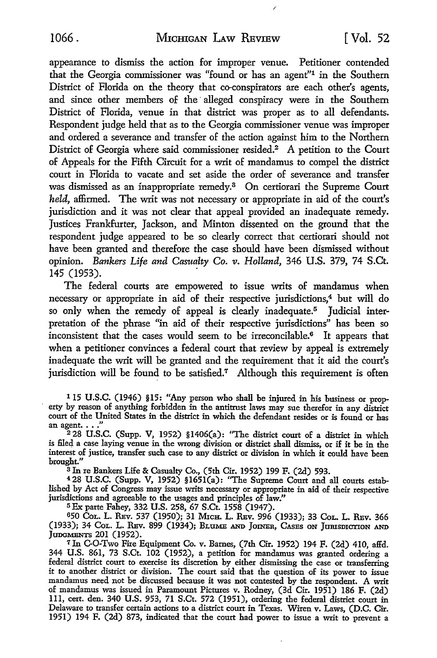appearance to dismiss the action for improper venue. Petitioner contended that the Georgia commissioner was "found or has an agent"1 in the Southern District of Florida on the theory that co-conspirators are each other's agents, and since other members of the alleged conspiracy were in the Southern District of Florida, venue in that district was proper as to all defendants. Respondent judge held that as to the Georgia commissioner venue was improper and ordered a severance and transfer of the action against him to the Northern District of Georgia where said commissioner resided.<sup>2</sup> A petition to the Court of Appeals for the Fifth Circuit for a writ of mandamus to compel the district court in Florida to vacate and set aside the order of severance and transfer was dismissed as an inappropriate remedy.8 On certiorari the Supreme Court *held,* affirmed. The writ was not necessary or appropriate in aid of the court's jurisdiction and it was not clear that appeal provided an inadequate remedy. Justices Frankfurter, Jackson, and Minton dissented on the ground that the respondent judge appeared to be so clearly correct that certiorari should not have been granted and therefore the case should have been dismissed without opinion. *Bankers Life and Casualty* Co. *v. Holland,* 346 U.S. 379, 74 S.Ct. 145 (1953).

The federal courts are empowered to issue writs of mandamus when necessary or appropriate in aid of their respective jurisdictions,<sup>4</sup> but will do so only when the remedy of appeal is clearly inadequate.5 Judicial interpretation of the phrase "in aid of their respective jurisdictions" has been so inconsistent that the cases would seem to be irreconcilable.<sup>6</sup> It appears that when a petitioner convinces a federal court that review by appeal is extremely inadequate the writ will be granted and the requirement that it aid the court's jurisdiction will be found to be satisfied.<sup>7</sup> Although this requirement is often

<sup>1</sup> 15 U.S.C. (1946) §15: "Any person who shall be injured in his business or property by reason of anything forbidden in the antitrust laws may sue therefor in any district an agent...."<br><sup>2</sup> 28 U.S.C. (Supp. V, 1952) §1406(a): "The district court of a district in which

is filed a case laying venue in the wrong division or district shall dismiss, or if it be in the interest of justice, transfer such case to any district or division in which it could have been brought."<br>
<sup>3</sup> In re Bankers Life & Casualty Co., (5th Cir. 1952) 199 F. (2d) 593.

 $4.28$  U.S.C. (Supp. V, 1952)  $$1651(a):$  "The Supreme Court and all courts established by Act of Congress may issue writs necessary or appropriate in aid of their respective jurisdictions and agreeable to the usages and principles of law."

5 Ex parte Fahey, 332 U.S. 258, 67 S.Ct. 1558 (1947).

<sup>6</sup>50 CoL. L. REv. 537 (1950); 31 MicH. L. REv. 996 (1933); 33 CoL. L. REv. 366 (1933); 34 CoL. L. REv. 899 (1934); BLUME AND JOINER, CASES ON JURISDICTION AND JUDGMENTS 201 (1952).

<sup>7</sup> In GO-Two Fire Equipment Co. v. Barnes, (7th Cir. 1952) 194 F. (2d) 410, affd. 344 U.S. 861, 73 S.Ct. 102 (1952), a petition for mandamus was granted ordering a federal district court to exercise its discretion by either dismissing the case or transferring it to another district or division. The court said that the question of its power to issue mandamus need not be discussed because it was not contested by the respondent. A writ of mandamus was issued in Paramount Pictures v. Rodney, (3d Cir. 1951) 186 F. (2d) 111, cert. den. 340 U.S. 953, 71 S.Ct. 572 (1951), ordering the federal district court in Delaware to transfer certain actions to a district court in Texas. Wiren v. Laws, (D.C. Cir. 1951) 194 F. (2d) 873, indicated that the court had power to issue a writ to prevent a